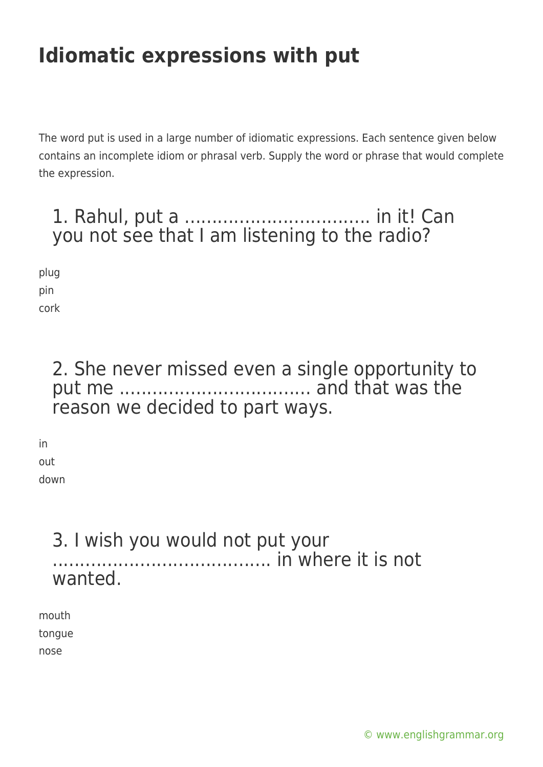# **Idiomatic expressions with put**

The word put is used in a large number of idiomatic expressions. Each sentence given below contains an incomplete idiom or phrasal verb. Supply the word or phrase that would complete the expression.

### 1. Rahul, put a .................................. in it! Can you not see that I am listening to the radio?

plug pin cork

### 2. She never missed even a single opportunity to put me ................................... and that was the reason we decided to part ways.

in out down

#### 3. I wish you would not put your ........................................ in where it is not wanted.

mouth tongue nose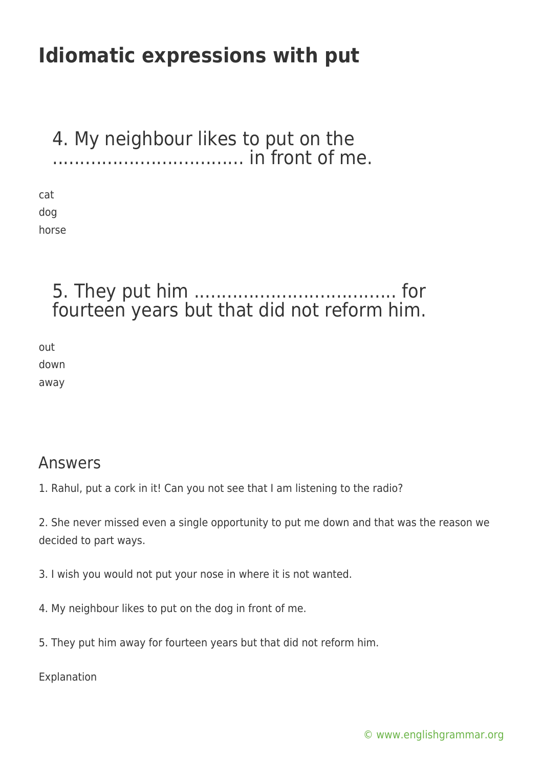## **Idiomatic expressions with put**

#### 4. My neighbour likes to put on the ................................... in front of me.

cat dog horse

### 5. They put him ..................................... for fourteen years but that did not reform him.

out down away

#### Answers

1. Rahul, put a cork in it! Can you not see that I am listening to the radio?

2. She never missed even a single opportunity to put me down and that was the reason we decided to part ways.

3. I wish you would not put your nose in where it is not wanted.

- 4. My neighbour likes to put on the dog in front of me.
- 5. They put him away for fourteen years but that did not reform him.

Explanation